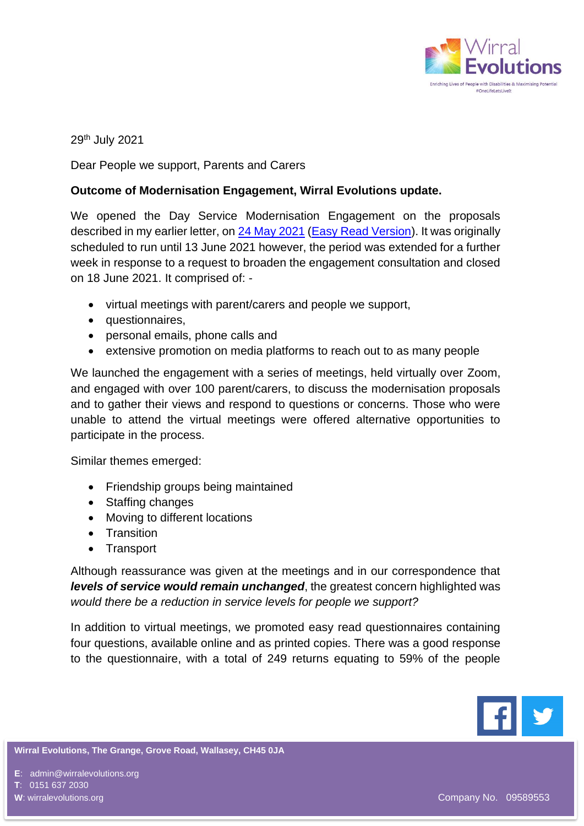

29th July 2021

Dear People we support, Parents and Carers

## **Outcome of Modernisation Engagement, Wirral Evolutions update.**

We opened the Day Service Modernisation Engagement on the proposals described in my earlier letter, on [24 May 2021](https://www.wirralevolutions.org/uploads/entity/500/wirral-evolutions-ltd-letter-to-parentcarers-may-2021-final-140521-60ab6cb92b975.pdf) [\(Easy Read Version\)](https://www.wirralevolutions.org/uploads/entity/500/easy-read-consultation-letter-version-without-survey-60df035d0320f.pdf). It was originally scheduled to run until 13 June 2021 however, the period was extended for a further week in response to a request to broaden the engagement consultation and closed on 18 June 2021. It comprised of: -

- virtual meetings with parent/carers and people we support,
- questionnaires,
- personal emails, phone calls and
- extensive promotion on media platforms to reach out to as many people

We launched the engagement with a series of meetings, held virtually over Zoom, and engaged with over 100 parent/carers, to discuss the modernisation proposals and to gather their views and respond to questions or concerns. Those who were unable to attend the virtual meetings were offered alternative opportunities to participate in the process.

Similar themes emerged:

- Friendship groups being maintained
- Staffing changes
- Moving to different locations
- Transition
- Transport

Although reassurance was given at the meetings and in our correspondence that *levels of service would remain unchanged*, the greatest concern highlighted was *would there be a reduction in service levels for people we support?*

In addition to virtual meetings, we promoted easy read questionnaires containing four questions, available online and as printed copies. There was a good response to the questionnaire, with a total of 249 returns equating to 59% of the people



**Wirral Evolutions, The Grange, Grove Road, Wallasey, CH45 0JA**

**E**: admin@wirralevolutions.org

**T**: 0151 637 2030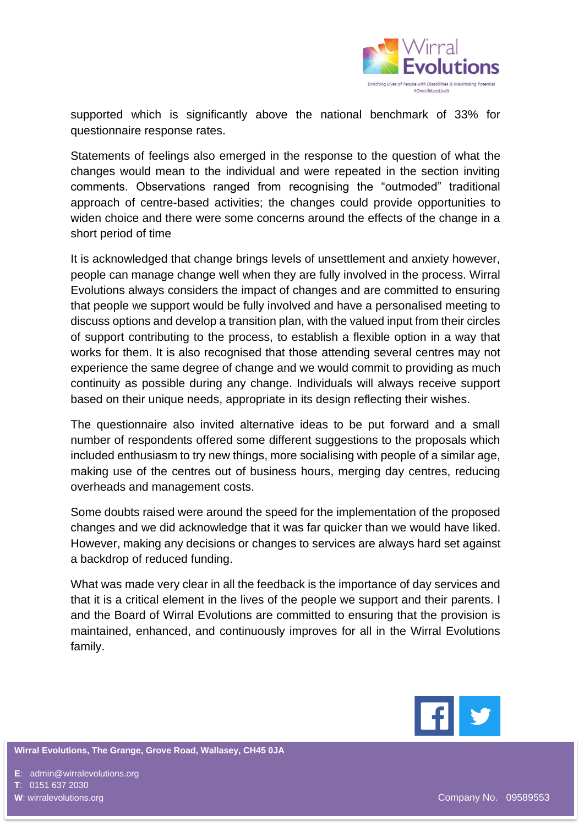

supported which is significantly above the national benchmark of 33% for questionnaire response rates.

Statements of feelings also emerged in the response to the question of what the changes would mean to the individual and were repeated in the section inviting comments. Observations ranged from recognising the "outmoded" traditional approach of centre-based activities; the changes could provide opportunities to widen choice and there were some concerns around the effects of the change in a short period of time

It is acknowledged that change brings levels of unsettlement and anxiety however, people can manage change well when they are fully involved in the process. Wirral Evolutions always considers the impact of changes and are committed to ensuring that people we support would be fully involved and have a personalised meeting to discuss options and develop a transition plan, with the valued input from their circles of support contributing to the process, to establish a flexible option in a way that works for them. It is also recognised that those attending several centres may not experience the same degree of change and we would commit to providing as much continuity as possible during any change. Individuals will always receive support based on their unique needs, appropriate in its design reflecting their wishes.

The questionnaire also invited alternative ideas to be put forward and a small number of respondents offered some different suggestions to the proposals which included enthusiasm to try new things, more socialising with people of a similar age, making use of the centres out of business hours, merging day centres, reducing overheads and management costs.

Some doubts raised were around the speed for the implementation of the proposed changes and we did acknowledge that it was far quicker than we would have liked. However, making any decisions or changes to services are always hard set against a backdrop of reduced funding.

What was made very clear in all the feedback is the importance of day services and that it is a critical element in the lives of the people we support and their parents. I and the Board of Wirral Evolutions are committed to ensuring that the provision is maintained, enhanced, and continuously improves for all in the Wirral Evolutions family.



**Wirral Evolutions, The Grange, Grove Road, Wallasey, CH45 0JA**

**E**: admin@wirralevolutions.org

**T**: 0151 637 2030